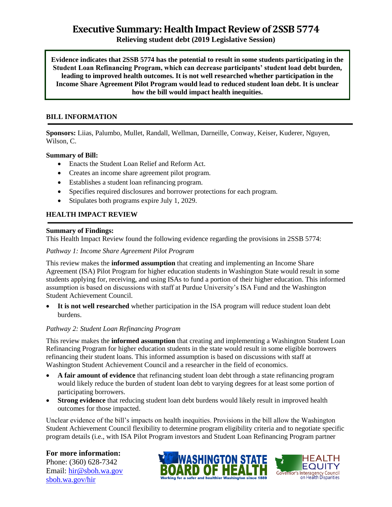# **Executive Summary: Health Impact Review of 2SSB 5774**

**Relieving student debt (2019 Legislative Session)**

**Evidence indicates that 2SSB 5774 has the potential to result in some students participating in the Student Loan Refinancing Program, which can decrease participants' student load debt burden, leading to improved health outcomes. It is not well researched whether participation in the Income Share Agreement Pilot Program would lead to reduced student loan debt. It is unclear how the bill would impact health inequities.**

#### **BILL INFORMATION**

**Sponsors:** Liias, Palumbo, Mullet, Randall, Wellman, Darneille, Conway, Keiser, Kuderer, Nguyen, Wilson, C.

#### **Summary of Bill:**

- Enacts the Student Loan Relief and Reform Act.
- Creates an income share agreement pilot program.
- Establishes a student loan refinancing program.
- Specifies required disclosures and borrower protections for each program.
- Stipulates both programs expire July 1, 2029.

### **HEALTH IMPACT REVIEW**

#### **Summary of Findings:**

This Health Impact Review found the following evidence regarding the provisions in 2SSB 5774:

#### *Pathway 1: Income Share Agreement Pilot Program*

This review makes the **informed assumption** that creating and implementing an Income Share Agreement (ISA) Pilot Program for higher education students in Washington State would result in some students applying for, receiving, and using ISAs to fund a portion of their higher education. This informed assumption is based on discussions with staff at Purdue University's ISA Fund and the Washington Student Achievement Council.

 **It is not well researched** whether participation in the ISA program will reduce student loan debt burdens.

#### *Pathway 2: Student Loan Refinancing Program*

This review makes the **informed assumption** that creating and implementing a Washington Student Loan Refinancing Program for higher education students in the state would result in some eligible borrowers refinancing their student loans. This informed assumption is based on discussions with staff at Washington Student Achievement Council and a researcher in the field of economics.

- **A fair amount of evidence** that refinancing student loan debt through a state refinancing program would likely reduce the burden of student loan debt to varying degrees for at least some portion of participating borrowers.
- **Strong evidence** that reducing student loan debt burdens would likely result in improved health outcomes for those impacted.

Unclear evidence of the bill's impacts on health inequities. Provisions in the bill allow the Washington Student Achievement Council flexibility to determine program eligibility criteria and to negotiate specific program details (i.e., with ISA Pilot Program investors and Student Loan Refinancing Program partner

#### **For more information:**

Phone: (360) 628-7342 Email: [hir@sboh.wa.gov](mailto:hir@sboh.wa.gov) [sboh.wa.gov/](http://sboh.wa.gov/)hir